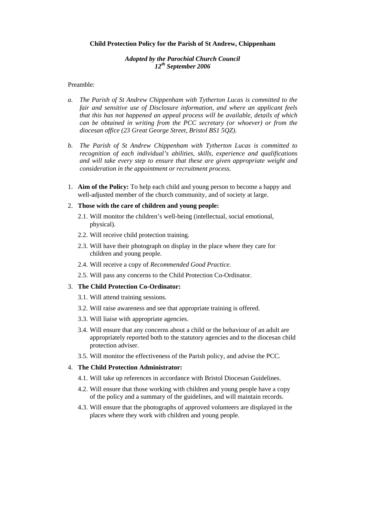### **Child Protection Policy for the Parish of St Andrew, Chippenham**

# *Adopted by the Parochial Church Council 12th September 2006*

## Preamble:

- *a. The Parish of St Andrew Chippenham with Tytherton Lucas is committed to the fair and sensitive use of Disclosure information, and where an applicant feels that this has not happened an appeal process will be available, details of which can be obtained in writing from the PCC secretary (or whoever) or from the diocesan office (23 Great George Street, Bristol BS1 5QZ).*
- *b. The Parish of St Andrew Chippenham with Tytherton Lucas is committed to recognition of each individual's abilities, skills, experience and qualifications and will take every step to ensure that these are given appropriate weight and consideration in the appointment or recruitment process.*
- 1. **Aim of the Policy:** To help each child and young person to become a happy and well-adjusted member of the church community, and of society at large.

### 2. **Those with the care of children and young people:**

- 2.1. Will monitor the children's well-being (intellectual, social emotional, physical).
- 2.2. Will receive child protection training.
- 2.3. Will have their photograph on display in the place where they care for children and young people.
- 2.4. Will receive a copy of *Recommended Good Practice.*
- 2.5. Will pass any concerns to the Child Protection Co-Ordinator.

### 3. **The Child Protection Co-Ordinator:**

- 3.1. Will attend training sessions.
- 3.2. Will raise awareness and see that appropriate training is offered.
- 3.3. Will liaise with appropriate agencies.
- 3.4. Will ensure that any concerns about a child or the behaviour of an adult are appropriately reported both to the statutory agencies and to the diocesan child protection adviser.
- 3.5. Will monitor the effectiveness of the Parish policy, and advise the PCC.

### 4. **The Child Protection Administrator:**

- 4.1. Will take up references in accordance with Bristol Diocesan Guidelines.
- 4.2. Will ensure that those working with children and young people have a copy of the policy and a summary of the guidelines, and will maintain records.
- 4.3. Will ensure that the photographs of approved volunteers are displayed in the places where they work with children and young people.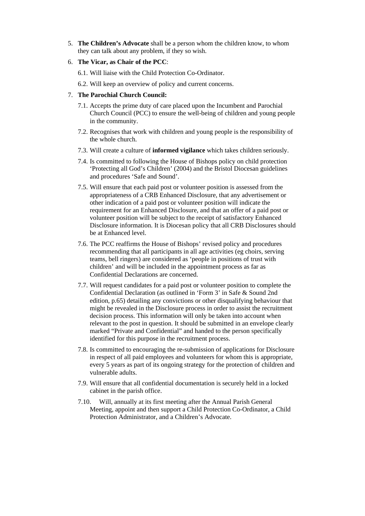- 5. **The Children's Advocate** shall be a person whom the children know, to whom they can talk about any problem, if they so wish.
- 6. **The Vicar, as Chair of the PCC**:
	- 6.1. Will liaise with the Child Protection Co-Ordinator.
	- 6.2. Will keep an overview of policy and current concerns.
- 7. **The Parochial Church Council:**
	- 7.1. Accepts the prime duty of care placed upon the Incumbent and Parochial Church Council (PCC) to ensure the well-being of children and young people in the community.
	- 7.2. Recognises that work with children and young people is the responsibility of the whole church.
	- 7.3. Will create a culture of **informed vigilance** which takes children seriously.
	- 7.4. Is committed to following the House of Bishops policy on child protection 'Protecting all God's Children' (2004) and the Bristol Diocesan guidelines and procedures 'Safe and Sound'.
	- 7.5. Will ensure that each paid post or volunteer position is assessed from the appropriateness of a CRB Enhanced Disclosure, that any advertisement or other indication of a paid post or volunteer position will indicate the requirement for an Enhanced Disclosure, and that an offer of a paid post or volunteer position will be subject to the receipt of satisfactory Enhanced Disclosure information. It is Diocesan policy that all CRB Disclosures should be at Enhanced level.
	- 7.6. The PCC reaffirms the House of Bishops' revised policy and procedures recommending that all participants in all age activities (eg choirs, serving teams, bell ringers) are considered as 'people in positions of trust with children' and will be included in the appointment process as far as Confidential Declarations are concerned.
	- 7.7. Will request candidates for a paid post or volunteer position to complete the Confidential Declaration (as outlined in 'Form 3' in Safe & Sound 2nd edition, p.65) detailing any convictions or other disqualifying behaviour that might be revealed in the Disclosure process in order to assist the recruitment decision process. This information will only be taken into account when relevant to the post in question. It should be submitted in an envelope clearly marked "Private and Confidential" and handed to the person specifically identified for this purpose in the recruitment process.
	- 7.8. Is committed to encouraging the re-submission of applications for Disclosure in respect of all paid employees and volunteers for whom this is appropriate, every 5 years as part of its ongoing strategy for the protection of children and vulnerable adults.
	- 7.9. Will ensure that all confidential documentation is securely held in a locked cabinet in the parish office.
	- 7.10. Will, annually at its first meeting after the Annual Parish General Meeting, appoint and then support a Child Protection Co-Ordinator, a Child Protection Administrator, and a Children's Advocate.